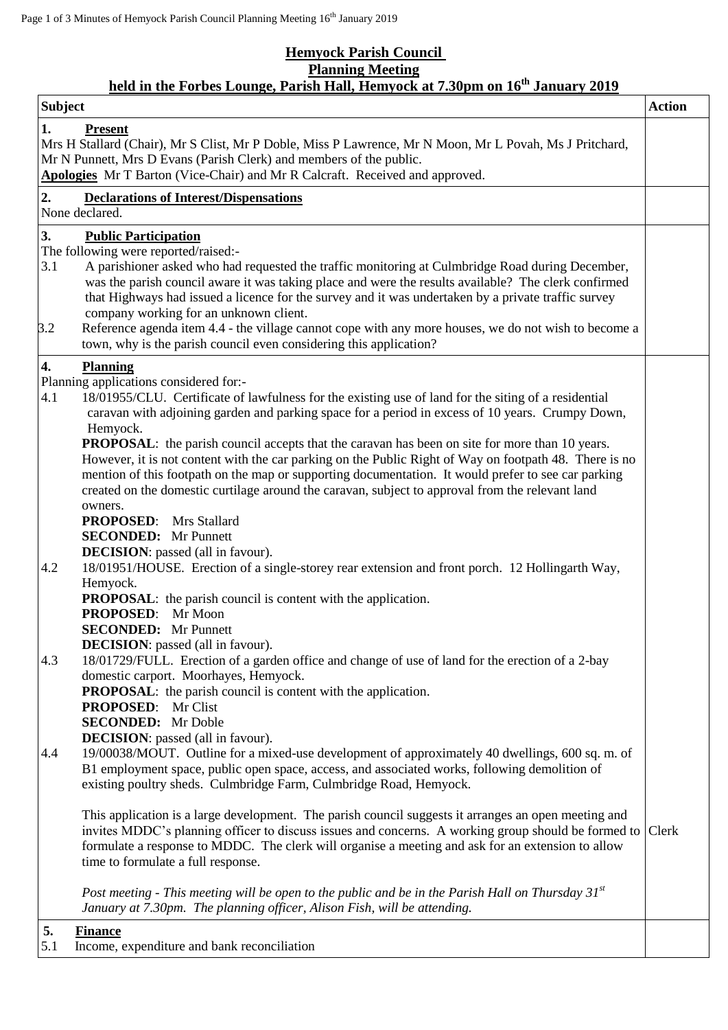## **Hemyock Parish Council Planning Meeting**

## **held in the Forbes Lounge, Parish Hall, Hemyock at 7.30pm on 16th January 2019**

| <b>Subject</b>                                                                                                                                                                                                                                                                                                                                                                                                                                                                                                                                                                                                                                                                                                                                                                                                                                                                                                                                                             | <b>Action</b> |
|----------------------------------------------------------------------------------------------------------------------------------------------------------------------------------------------------------------------------------------------------------------------------------------------------------------------------------------------------------------------------------------------------------------------------------------------------------------------------------------------------------------------------------------------------------------------------------------------------------------------------------------------------------------------------------------------------------------------------------------------------------------------------------------------------------------------------------------------------------------------------------------------------------------------------------------------------------------------------|---------------|
| 1.<br><b>Present</b><br>Mrs H Stallard (Chair), Mr S Clist, Mr P Doble, Miss P Lawrence, Mr N Moon, Mr L Povah, Ms J Pritchard,<br>Mr N Punnett, Mrs D Evans (Parish Clerk) and members of the public.<br>Apologies Mr T Barton (Vice-Chair) and Mr R Calcraft. Received and approved.                                                                                                                                                                                                                                                                                                                                                                                                                                                                                                                                                                                                                                                                                     |               |
| 2.<br><b>Declarations of Interest/Dispensations</b><br>None declared.                                                                                                                                                                                                                                                                                                                                                                                                                                                                                                                                                                                                                                                                                                                                                                                                                                                                                                      |               |
| 3.<br><b>Public Participation</b><br>The following were reported/raised:-<br>3.1<br>A parishioner asked who had requested the traffic monitoring at Culmbridge Road during December,<br>was the parish council aware it was taking place and were the results available? The clerk confirmed<br>that Highways had issued a licence for the survey and it was undertaken by a private traffic survey<br>company working for an unknown client.<br>Reference agenda item 4.4 - the village cannot cope with any more houses, we do not wish to become a<br>3.2                                                                                                                                                                                                                                                                                                                                                                                                               |               |
| town, why is the parish council even considering this application?                                                                                                                                                                                                                                                                                                                                                                                                                                                                                                                                                                                                                                                                                                                                                                                                                                                                                                         |               |
| 4.<br><b>Planning</b><br>Planning applications considered for:-<br>4.1<br>18/01955/CLU. Certificate of lawfulness for the existing use of land for the siting of a residential<br>caravan with adjoining garden and parking space for a period in excess of 10 years. Crumpy Down,<br>Hemyock.<br><b>PROPOSAL:</b> the parish council accepts that the caravan has been on site for more than 10 years.<br>However, it is not content with the car parking on the Public Right of Way on footpath 48. There is no<br>mention of this footpath on the map or supporting documentation. It would prefer to see car parking<br>created on the domestic curtilage around the caravan, subject to approval from the relevant land<br>owners.<br><b>PROPOSED:</b> Mrs Stallard<br><b>SECONDED:</b> Mr Punnett<br><b>DECISION</b> : passed (all in favour).<br>4.2<br>18/01951/HOUSE. Erection of a single-storey rear extension and front porch. 12 Hollingarth Way,<br>Hemyock. |               |
| <b>PROPOSAL:</b> the parish council is content with the application.<br><b>PROPOSED:</b><br>Mr Moon<br><b>SECONDED:</b> Mr Punnett<br><b>DECISION</b> : passed (all in favour).                                                                                                                                                                                                                                                                                                                                                                                                                                                                                                                                                                                                                                                                                                                                                                                            |               |
| 4.3<br>18/01729/FULL. Erection of a garden office and change of use of land for the erection of a 2-bay<br>domestic carport. Moorhayes, Hemyock.<br><b>PROPOSAL:</b> the parish council is content with the application.<br>PROPOSED: Mr Clist<br><b>SECONDED:</b> Mr Doble<br><b>DECISION</b> : passed (all in favour).<br>19/00038/MOUT. Outline for a mixed-use development of approximately 40 dwellings, 600 sq. m. of<br>4.4                                                                                                                                                                                                                                                                                                                                                                                                                                                                                                                                         |               |
| B1 employment space, public open space, access, and associated works, following demolition of<br>existing poultry sheds. Culmbridge Farm, Culmbridge Road, Hemyock.<br>This application is a large development. The parish council suggests it arranges an open meeting and<br>invites MDDC's planning officer to discuss issues and concerns. A working group should be formed to Clerk<br>formulate a response to MDDC. The clerk will organise a meeting and ask for an extension to allow<br>time to formulate a full response.                                                                                                                                                                                                                                                                                                                                                                                                                                        |               |
| Post meeting - This meeting will be open to the public and be in the Parish Hall on Thursday $31^{st}$<br>January at 7.30pm. The planning officer, Alison Fish, will be attending.                                                                                                                                                                                                                                                                                                                                                                                                                                                                                                                                                                                                                                                                                                                                                                                         |               |
| 5.<br><b>Finance</b><br>5.1<br>Income, expenditure and bank reconciliation                                                                                                                                                                                                                                                                                                                                                                                                                                                                                                                                                                                                                                                                                                                                                                                                                                                                                                 |               |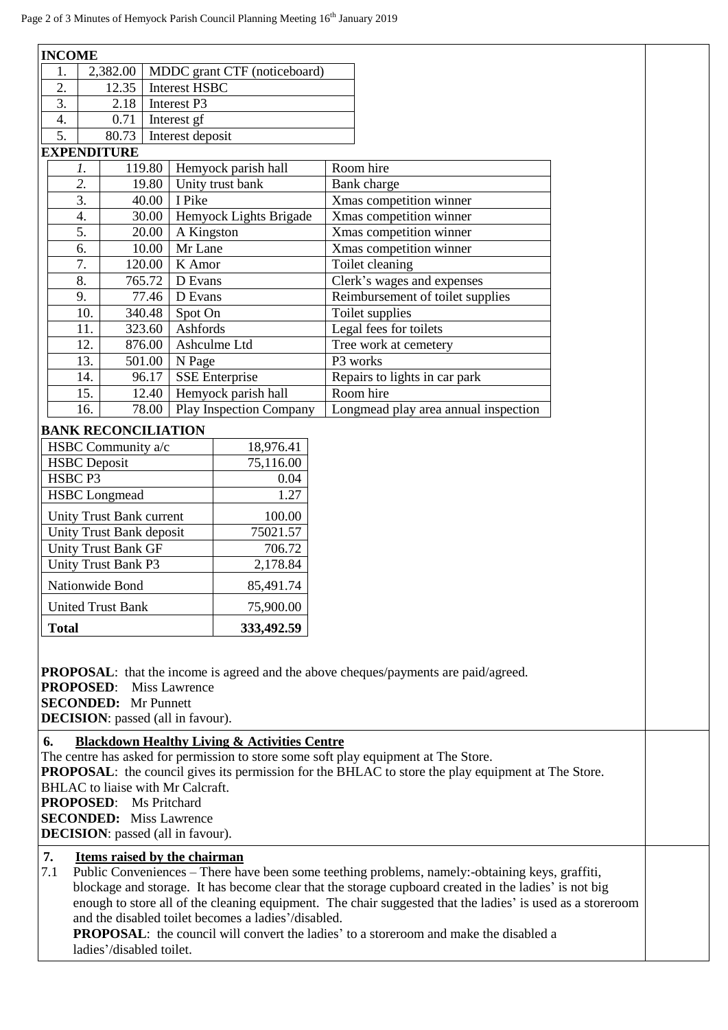| <b>INCOME</b>                                                                                                                                                                                                                                                                                                                                                                                                                                                                                                                                          |                                                  |                      |                                      |                                                    |                                      |  |  |  |
|--------------------------------------------------------------------------------------------------------------------------------------------------------------------------------------------------------------------------------------------------------------------------------------------------------------------------------------------------------------------------------------------------------------------------------------------------------------------------------------------------------------------------------------------------------|--------------------------------------------------|----------------------|--------------------------------------|----------------------------------------------------|--------------------------------------|--|--|--|
| 1.                                                                                                                                                                                                                                                                                                                                                                                                                                                                                                                                                     | 2,382.00<br>MDDC grant CTF (noticeboard)         |                      |                                      |                                                    |                                      |  |  |  |
| 2.                                                                                                                                                                                                                                                                                                                                                                                                                                                                                                                                                     | 12.35                                            | <b>Interest HSBC</b> |                                      |                                                    |                                      |  |  |  |
| $\overline{3}$ .                                                                                                                                                                                                                                                                                                                                                                                                                                                                                                                                       | 2.18                                             |                      | Interest P3                          |                                                    |                                      |  |  |  |
| 4.                                                                                                                                                                                                                                                                                                                                                                                                                                                                                                                                                     | 0.71                                             | Interest gf          |                                      |                                                    |                                      |  |  |  |
| 5.<br>80.73<br>Interest deposit                                                                                                                                                                                                                                                                                                                                                                                                                                                                                                                        |                                                  |                      |                                      |                                                    |                                      |  |  |  |
| <b>EXPENDITURE</b>                                                                                                                                                                                                                                                                                                                                                                                                                                                                                                                                     |                                                  |                      |                                      |                                                    |                                      |  |  |  |
|                                                                                                                                                                                                                                                                                                                                                                                                                                                                                                                                                        | 119.80<br>Hemyock parish hall<br>$\mathfrak{1}.$ |                      |                                      |                                                    | Room hire                            |  |  |  |
|                                                                                                                                                                                                                                                                                                                                                                                                                                                                                                                                                        | 2.<br>19.80                                      |                      | Unity trust bank                     | <b>Bank</b> charge                                 |                                      |  |  |  |
|                                                                                                                                                                                                                                                                                                                                                                                                                                                                                                                                                        | 3.<br>I Pike<br>40.00                            |                      |                                      | Xmas competition winner                            |                                      |  |  |  |
|                                                                                                                                                                                                                                                                                                                                                                                                                                                                                                                                                        | 4.<br>30.00                                      |                      | Hemyock Lights Brigade<br>A Kingston |                                                    | Xmas competition winner              |  |  |  |
| 5.<br>20.00<br>10.00<br>6.                                                                                                                                                                                                                                                                                                                                                                                                                                                                                                                             |                                                  | Mr Lane              |                                      | Xmas competition winner<br>Xmas competition winner |                                      |  |  |  |
| 7.                                                                                                                                                                                                                                                                                                                                                                                                                                                                                                                                                     |                                                  |                      | K Amor                               |                                                    | Toilet cleaning                      |  |  |  |
| 8.                                                                                                                                                                                                                                                                                                                                                                                                                                                                                                                                                     | 120.00<br>765.72                                 |                      | D Evans                              |                                                    | Clerk's wages and expenses           |  |  |  |
| 9.                                                                                                                                                                                                                                                                                                                                                                                                                                                                                                                                                     | 77.46                                            |                      | D Evans                              |                                                    | Reimbursement of toilet supplies     |  |  |  |
| 10.                                                                                                                                                                                                                                                                                                                                                                                                                                                                                                                                                    |                                                  | 340.48               | Spot On                              |                                                    | Toilet supplies                      |  |  |  |
| 11.                                                                                                                                                                                                                                                                                                                                                                                                                                                                                                                                                    |                                                  | 323.60               | Ashfords                             |                                                    | Legal fees for toilets               |  |  |  |
| 12.                                                                                                                                                                                                                                                                                                                                                                                                                                                                                                                                                    |                                                  | 876.00               | Ashculme Ltd                         |                                                    | Tree work at cemetery                |  |  |  |
| 13.                                                                                                                                                                                                                                                                                                                                                                                                                                                                                                                                                    |                                                  | 501.00               | N Page                               |                                                    | P3 works                             |  |  |  |
| 14.                                                                                                                                                                                                                                                                                                                                                                                                                                                                                                                                                    |                                                  | 96.17                |                                      | <b>SSE Enterprise</b>                              | Repairs to lights in car park        |  |  |  |
| 15.                                                                                                                                                                                                                                                                                                                                                                                                                                                                                                                                                    |                                                  | 12.40                |                                      | Hemyock parish hall                                | Room hire                            |  |  |  |
| 16.                                                                                                                                                                                                                                                                                                                                                                                                                                                                                                                                                    |                                                  | 78.00                |                                      | <b>Play Inspection Company</b>                     | Longmead play area annual inspection |  |  |  |
| <b>BANK RECONCILIATION</b>                                                                                                                                                                                                                                                                                                                                                                                                                                                                                                                             |                                                  |                      |                                      |                                                    |                                      |  |  |  |
| HSBC Community a/c<br>18,976.41                                                                                                                                                                                                                                                                                                                                                                                                                                                                                                                        |                                                  |                      |                                      |                                                    |                                      |  |  |  |
| <b>HSBC</b> Deposit                                                                                                                                                                                                                                                                                                                                                                                                                                                                                                                                    |                                                  |                      |                                      | 75,116.00                                          |                                      |  |  |  |
| HSBC P3                                                                                                                                                                                                                                                                                                                                                                                                                                                                                                                                                |                                                  |                      |                                      | 0.04                                               |                                      |  |  |  |
| <b>HSBC</b> Longmead                                                                                                                                                                                                                                                                                                                                                                                                                                                                                                                                   |                                                  |                      |                                      | 1.27                                               |                                      |  |  |  |
| Unity Trust Bank current                                                                                                                                                                                                                                                                                                                                                                                                                                                                                                                               |                                                  |                      |                                      | 100.00                                             |                                      |  |  |  |
| Unity Trust Bank deposit                                                                                                                                                                                                                                                                                                                                                                                                                                                                                                                               |                                                  |                      |                                      | 75021.57                                           |                                      |  |  |  |
| <b>Unity Trust Bank GF</b>                                                                                                                                                                                                                                                                                                                                                                                                                                                                                                                             |                                                  |                      |                                      | 706.72                                             |                                      |  |  |  |
| <b>Unity Trust Bank P3</b>                                                                                                                                                                                                                                                                                                                                                                                                                                                                                                                             |                                                  | 2,178.84             |                                      |                                                    |                                      |  |  |  |
| Nationwide Bond                                                                                                                                                                                                                                                                                                                                                                                                                                                                                                                                        |                                                  |                      |                                      | 85,491.74                                          |                                      |  |  |  |
| <b>United Trust Bank</b>                                                                                                                                                                                                                                                                                                                                                                                                                                                                                                                               |                                                  |                      |                                      | 75,900.00                                          |                                      |  |  |  |
| <b>Total</b>                                                                                                                                                                                                                                                                                                                                                                                                                                                                                                                                           |                                                  |                      |                                      | 333,492.59                                         |                                      |  |  |  |
|                                                                                                                                                                                                                                                                                                                                                                                                                                                                                                                                                        |                                                  |                      |                                      |                                                    |                                      |  |  |  |
| <b>PROPOSAL:</b> that the income is agreed and the above cheques/payments are paid/agreed.<br><b>PROPOSED:</b><br><b>Miss Lawrence</b><br><b>SECONDED:</b> Mr Punnett<br><b>DECISION</b> : passed (all in favour).                                                                                                                                                                                                                                                                                                                                     |                                                  |                      |                                      |                                                    |                                      |  |  |  |
| <b>Blackdown Healthy Living &amp; Activities Centre</b><br>6.<br>The centre has asked for permission to store some soft play equipment at The Store.<br><b>PROPOSAL:</b> the council gives its permission for the BHLAC to store the play equipment at The Store.<br>BHLAC to liaise with Mr Calcraft.<br><b>PROPOSED:</b> Ms Pritchard<br><b>SECONDED:</b> Miss Lawrence<br><b>DECISION</b> : passed (all in favour).                                                                                                                                 |                                                  |                      |                                      |                                                    |                                      |  |  |  |
| Items raised by the chairman<br>7.<br>7.1<br>Public Conveniences - There have been some teething problems, namely:-obtaining keys, graffiti,<br>blockage and storage. It has become clear that the storage cupboard created in the ladies' is not big<br>enough to store all of the cleaning equipment. The chair suggested that the ladies' is used as a storeroom<br>and the disabled toilet becomes a ladies'/disabled.<br><b>PROPOSAL:</b> the council will convert the ladies' to a storeroom and make the disabled a<br>ladies'/disabled toilet. |                                                  |                      |                                      |                                                    |                                      |  |  |  |